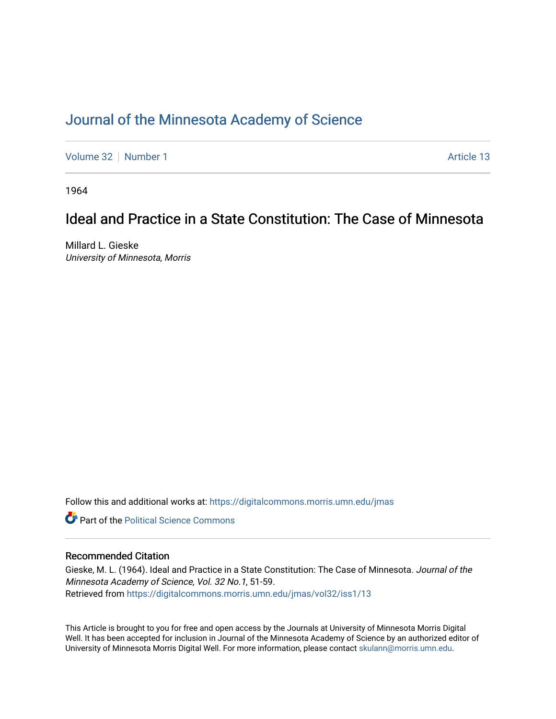## [Journal of the Minnesota Academy of Science](https://digitalcommons.morris.umn.edu/jmas)

[Volume 32](https://digitalcommons.morris.umn.edu/jmas/vol32) [Number 1](https://digitalcommons.morris.umn.edu/jmas/vol32/iss1) Article 13

1964

# Ideal and Practice in a State Constitution: The Case of Minnesota

Millard L. Gieske University of Minnesota, Morris

Follow this and additional works at: [https://digitalcommons.morris.umn.edu/jmas](https://digitalcommons.morris.umn.edu/jmas?utm_source=digitalcommons.morris.umn.edu%2Fjmas%2Fvol32%2Fiss1%2F13&utm_medium=PDF&utm_campaign=PDFCoverPages) 

**C** Part of the Political Science Commons

## Recommended Citation

Gieske, M. L. (1964). Ideal and Practice in a State Constitution: The Case of Minnesota. Journal of the Minnesota Academy of Science, Vol. 32 No.1, 51-59. Retrieved from [https://digitalcommons.morris.umn.edu/jmas/vol32/iss1/13](https://digitalcommons.morris.umn.edu/jmas/vol32/iss1/13?utm_source=digitalcommons.morris.umn.edu%2Fjmas%2Fvol32%2Fiss1%2F13&utm_medium=PDF&utm_campaign=PDFCoverPages) 

This Article is brought to you for free and open access by the Journals at University of Minnesota Morris Digital Well. It has been accepted for inclusion in Journal of the Minnesota Academy of Science by an authorized editor of University of Minnesota Morris Digital Well. For more information, please contact [skulann@morris.umn.edu](mailto:skulann@morris.umn.edu).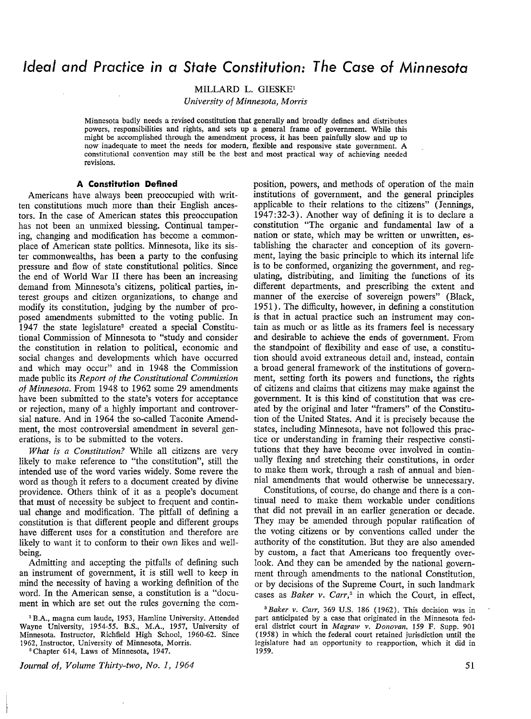## *Ideal and Practice in* **a** *State Constitution: The Case of Minnesota*

MILLARD L. GIESKE1

*University of Minnesota, Morris* 

Minnesota badly needs a revised constitution that generally and broadly defines and distributes powers, responsibilities and rights, and sets up a general frame of government. While this might be accomplished through the amendment process, it has been painfully slow and up to now inadequate to meet 'the needs for modern, flexible and responsive state government. A constitutional convention may still be the best and most practical way of achieving needed revisions.

#### **A Constitution Defined**

Americans have always been preoccupied with written constitutions much more than their English ancestors. In the case of American states this preoccupation has not been an unmixed blessing. Continual tampering, changing and modification has become a commonplace of American state politics. Minnesota, like its sister commonwealths, has been a party to the confusing pressure and flow of state constitutional politics. **Since**  the end of World War II there has been an increasing demand from Minnesota's citizens, political parties, interest groups and citizen organizations, to change and modify its constitution, judging by the number of proposed amendments submitted to the voting public. In 1947 the state legislature<sup>2</sup> created a special Constitutional Commission of Minnesota to "study and consider the constitution in relation to political, economic and social changes and developments which have occurred and which may occur" and in 1948 the Commission made public its *Report of the Constitutional Commission of Minnesota.* From 1948 to 1962 some 29 amendments have been submitted to the state's voters for acceptance or rejection, many of a highly important and controversial nature. And in 1964 the so-called Taconite Amendment, the most controversial amendment in several generations, is to be submitted to the voters.

*What is a Constitution?* While all citizens are very likely to make reference to "the constitution", still the intended use of the word varies widely. Some revere the word as though it refers to a document created by divine providence. Others think of it as a people's document that must of necessity be subject to frequent and continual change and modification. The pitfall of defining a constitution is that different people and different groups have different uses for a constitution and therefore are likely to want it to conform to their own likes and wellbeing.

Admitting and accepting the pitfalls of defining such an instrument of government, it is still well to keep in mind the necessity of having a working definition of the word. In the American sense, a constitution is a "document in which are set out the rules governing the com-

1 B.A., magna cum laude, 1953, Hamline University. Attended Wayne University, 1954-55. B.S., M.A., 1957, University of Minnesota. Instructor, Richfield High School, 1960-62. Since 1962, Instructor, University of Minnesota, Morris.

<sup>2</sup>Chapter 614, Laws of Minnesota, 1947.

*Journal of, Volume Thirty-two, No. 1, 1964* 

position, powers, and methods of operation of the main institutions of government, and the general principles applicable to their relations to the citizens" (Jennings, 1947:32-3). Another way of defining it is to declare a constitution "The organic and fundamental law of a nation or state, which may be written or unwritten, establishing the character and conception of its government, laying the basic principle to which its internal life is to be conformed, organizing the government, and regulating, distributing, and limiting the functions of its different departments, and prescribing the extent and manner of the exercise of sovereign powers" (Black, 1951). The difficulty, however, in defining a constitution is that in actual practice such an instrument may contain as much or as little as its framers feel is necessary and desirable to achieve the ends of government. From the standpoint of flexibility and ease of use, a constitution should avoid extraneous detail and, instead, contain a broad general framework of the institutions of government, setting forth its powers and functions, the rights of citizens and claims that citizens may make against the government. It is this kind of constitution that was created by the original and later "framers" of the Constitution of the United States. And it is precisely because the states, including Minnesota, have not followed this practice or understanding in framing their respective constitutions that they have become over involved in continually flexing and stretching their constitutions, in order to make them work, through a rash of annual and biennial amendments that would otherwise be unnecessary.

Constitutions, of course, do change and there is a continual need to make them workable under conditions that did not prevail in an earlier generation or decade. They may be amended through popular ratification of the voting citizens or by conventions called under the authority of the constitution. But they are also amended by custom, a fact that Americans too frequently overlook. And they can be amended by the national government through amendments to the national Constitution, or by decisions of the Supreme Court, in such landmark cases as *Baker v. Carr,3* in which the Court, in effect,

<sup>3</sup>*Baker v. Carr,* 369 U.S. 186 (1962). This decision was in part anticipated by a case that originated in the Minnesota federal district court in *Magraw v. Donovan,* 159 F. Supp. 901 (1958) in which the federal court retained jurisdiction until the legislature had an opportunity to reapportion, which it did in 1959.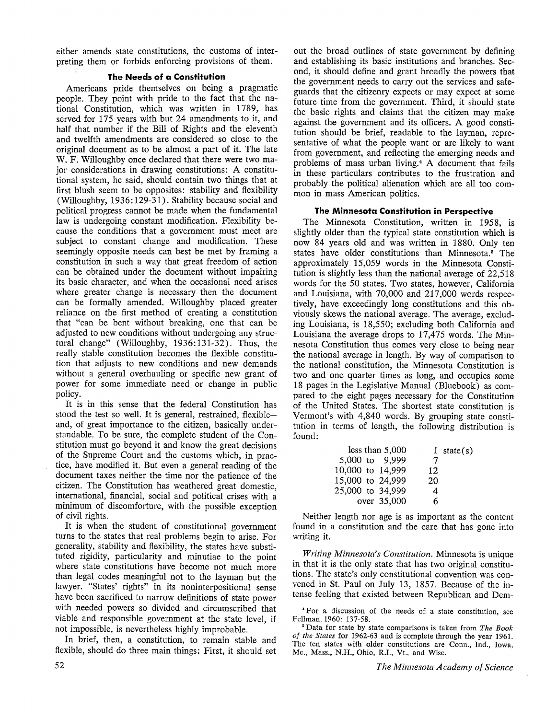either amends state constitutions, the customs of interpreting them or forbids enforcing provisions of them.

### **The Needs of a Constitution**

Americans pride themselves on being a pragmatic people. They point with pride to the fact that the national Constitution, which was written in 1789, has served for 175 years with but 24 amendments to it, and half that number if the Bill of Rights and the eleventh and twelfth amendments are considered so close to the original document as to be almost a part of it. The late W. F. Willoughby once declared that there were two major considerations in drawing constitutions: A constitutional system, he said, should contain two things that at first blush seem to be opposites: stability and flexibility (Willoughby, 1936: 129-31). Stability because social and political progress cannot be made when the fundamental law is undergoing constant modification. Flexibility because the conditions that a government must meet are subject to constant change and modification. These seemingly opposite needs can best be met by framing a constitution in such a way that great freedom of action can be obtained under the document without impairing its basic character, and when the occasional need arises where greater change is necessary then the document can be formally amended. Willoughby placed greater reliance on the first method of creating a constitution that "can be bent without breaking, one that can be adjusted to new conditions without undergoing any structural change" (Willoughby, 1936: 131-32). Thus, the really stable constitution becomes the flexible constitution that adjusts to new conditions and new demands without a general overhauling or specific new grant of power for some immediate need or change in public policy.

It is in this sense that the federal Constitution has stood the test so well. It is general, restrained, flexibleand, of great importance to the citizen, basically understandable. To be sure, the complete student of the Constitution must go beyond it and know the great decisions of the Supreme Court and the customs which, in practice, have modified it. But even a general reading of the document taxes neither the time nor the patience of the citizen. The Constitution has weathered great domestic, international, financial, social and political crises with a minimum of discomforture, with the possible exception of civil rights.

It is when the student of constitutional government turns to the states that real problems begin to arise. For generality, stability and flexibility, the states have substituted rigidity, particularity and minutiae to the point where state constitutions have become not much more than legal codes meaningful not to the layman but the lawyer. "States' rights" in its noninterpositional sense have been sacrificed to narrow definitions of state power with needed powers so divided and circumscribed that viable and responsible government at the state level, if not impossible, is nevertheless highly improbable.

In brief, then, a constitution, to remain stable and flexible, should do three main things: First, it should set

out the broad outlines of state government by defining and establishing its basic institutions and branches. Second, it should define and grant broadly the powers that the government needs to carry out the services and safeguards that the citizenry expects or may expect at some future time from the government. Third, it should state the basic rights and claims that the citizen may make against the government and its officers. A good constitution should be brief, readable to the layman, representative of what the people want or are likely to want from government, and reflecting the emerging needs and problems of mass urban living.<sup>4</sup> A document that fails in these particulars contributes to the frustration and probably the political alienation which are all too common in mass American politics.

### **The Minnesota Constitution in Perspective**

The Minnesota Constitution, written in 1958, is slightly older than the typical state constitution which is now 84 years old and was written in 1880. Only ten states have older constitutions than Minnesota.<sup>5</sup> The approximately 15,059 words in the Minnesota Constitution is slightly less than the national average of 22,518 words for the 50 states. Two states, however, California and Louisiana, with 70,000 and 217,000 words respectively, have exceedingly long constitutions and this obviously skews the national average. The average, excluding Louisiana, is 18,550; excluding both California and Louisiana the average drops to 17,475 words. The Minnesota Constitution thus comes very close to being near the national average in length. By way of comparison to the national constitution, the Minnesota Constitution is two and one quarter times as long, and occupies some 18 pages in the Legislative Manual (Bluebook) as compared to the eight pages necessary for the Constitution of the United States. The shortest state constitution is Vermont's with 4,840 words. By grouping state constitution in terms of length, the following distribution is found:

|                  | less than 5,000 |    | 1 state(s) |
|------------------|-----------------|----|------------|
| 5,000 to 9,999   |                 | 7  |            |
| 10,000 to 14,999 |                 | 12 |            |
| 15,000 to 24,999 |                 | 20 |            |
| 25,000 to 34,999 |                 | 4  |            |
|                  | over 35,000     | 6  |            |

Neither length nor age is as important as the content found in a constitution and the care that has gone into writing it.

*Writing Minnesota's Constitution.* Minnesota is unique in that it is the only state that has two original constitutions. The state's only constitutional convention was convened in St. Paul on July 13, 1857. Because of the intense feeling that existed between Republican and Dem-

• For a discussion of the needs of a state constitution, see Fellman, 1960: 137-58.

<sup>5</sup>Data for state by state comparisons is taken from *The Book of the States* for 1962-63 and is complete through the year 1961. The ten states with older constitutions are Conn., Ind., Iowa, Me., Mass., N.H., Ohio, R.I., Vt., and Wisc.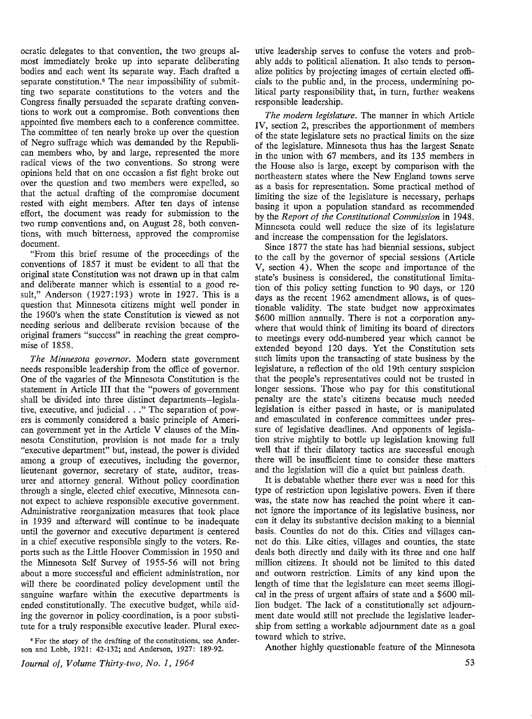ocratic delegates to that convention, the two groups almost immediately broke up into separate deliberating bodies and each went its separate way. Each drafted a separate constitution.<sup>6</sup> The near impossibility of submitting two separate constitutions to the voters and the Congress finally persuaded the separate drafting conventions to work out a compromise. Both conventions then appointed five members each to a conference committee. The committee of ten nearly broke up over the question of Negro suffrage which was demanded by the Republican members who, by and large, represented the more radical views of the two conventions. So strong were opinions held that on one occasion a fist fight broke out over the question and two members were expelled, so that the actual drafting of the compromise document rested with eight members. After ten days of intense effort, the document was ready for submission to the two rump conventions and, on August 28, both conventions, with much bitterness, approved the compromise document.

"From this brief resume of the proceedings of the conventions of 1857 it must be evident to all that the original state Constitution was not drawn up in that calm and deliberate manner which is essential to a good result," Anderson (1927:193) wrote in 1927. This is a question that Minnesota citizens might well ponder in the 1960's when the state Constitution is viewed as not needing serious and deliberate revision because of the original framers "success" in reaching the great compromise of 1858.

*The Minnesota governor.* Modern state government needs responsible leadership from the office of governor. One of the vagaries of the Minnesota Constitution is the statement in Article III that the "powers of government shall be divided into three distinct departments-legislative, executive, and judicial ... " The separation of powers is commonly considered a basic principle of American government yet in the Article V clauses of the Minnesota Constitution, provision is not made for a truly "executive department" but, instead, the power is divided among a group of executives, including the governor, lieutenant governor, secretary of state, auditor, treasurer and attorney general. Without policy coordination through a single, elected chief executive, Minnesota cannot expect to achieve responsible executive government. Administrative reorganization measures that took place in 1939 and afterward will continue to be inadequate until the governor and executive department is centered in a chief executive responsible singly to the voters. Reports such as the Little Hoover Commission in 1950 and the Minnesota Self Survey of 1955-56 will not bring about a more successful and efficient administration, nor will there be coordinated policy development until the sanguine warfare within the executive departments is ended constitutionally. The executive budget, while aiding the governor in policy coordination, is a poor substitute for a truly responsible executive leader. Plural exec-

• For the story of the drafting of the constitutions, see Anderson and Lobb, 1921: 42-132; and Anderson, 1927: 189-92.

*Journal of, Volume Thirty-two, No. I, 1964* 

utive leadership serves to confuse the voters and probably adds to political alienation. It also tends to personalize politics by projecting images of certain elected officials to the public and, in the process, undermining political party responsibility that, in turn, further weakens responsible leadership.

*The modern legislature.* The manner in which Article IV, section 2, prescribes the apportionment of members of the state legislature sets no practical limits on the size of the legislature. Minnesota thus has the largest Senate in the union with 67 members, and its 135 members in the House also is large, except by comparison with the northeastern states where the New England towns serve as a basis for representation. Some practical method of limiting the size of the legislature is necessary, perhaps basing it upon a population standard as recommended by the *Report of the Constitutional Commission* in 1948. Minnesota could well reduce the size of its legislature and increase the compensation for the legislators.

Since 1877 the state has had biennial sessions, subject to the call by the governor of special sessions (Article V, section 4). When the scope and importance of the state's business is considered, the constitutional limitation of this policy setting function to 90 days, or 120 days as the recent 1962 amendment allows, is of questionable validity. The state budget now approximates \$600 million annually. There is not a corporation anywhere that would think of limiting its board of directors to meetings every odd-numbered year which cannot be extended beyond 120 days. Yet the Constitution sets such limits upon the transacting of state business by the legislature, a reflection of the old 19th century suspicion that the people's representatives could not be trusted in longer sessions. Those who pay for this constitutional penalty are the state's citizens because much needed legislation is either passed in haste, or is manipulated and emasculated in conference committees under pressure of legislative deadlines. And opponents of legislation strive mightily to bottle up legislation knowing full well that if their dilatory tactics are successful enough there will be insufficient time to consider these matters and the legislation will die a quiet but painless death.

It is debatable whether there ever was a need for this type of restriction upon legislative powers. Even if there was, the state now has reached the point where it cannot ignore the importance of its legislative business, nor can it delay its substantive decision making to a biennial basis. Counties do not do this. Cities and villages cannot do this. Like cities, villages and counties, the state deals both directly and daily with its three and one half million citizens. It should not be limited to this dated and outworn restriction. Limits of any kind upon the length of time that the legislature can meet seems illogical in the press of urgent affairs of state and a \$600 million budget. The lack of a constitutionally set adjournment date would still not preclude the legislative leadership from setting a workable adjournment date as a goal toward which to strive.

Another highly questionable feature of the Minnesota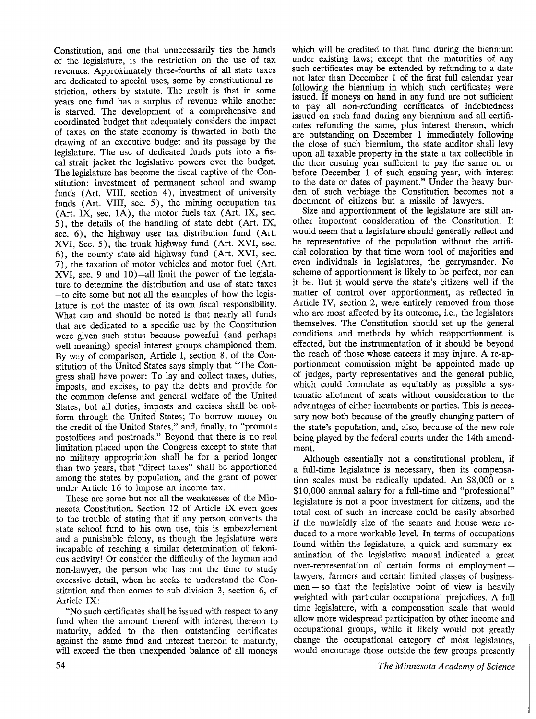Constitution, and one that unnecessarily ties the hands of the legislature, is the restriction on the use of tax revenues. Approximately three-fourths of all state taxes are dedicated to special uses, some by constitutional restriction, others by statute. The result is that in some years one fund has a surplus of revenue while another is starved. The development of a comprehensive and coordinated budget that adequately considers the impact of taxes on the state economy is thwarted in both the drawing of an executive budget and its passage by the legislature. The use of dedicated funds puts into a fiscal strait jacket the legislative powers over the budget. The legislature has become the fiscal captive of the Constitution: investment of permanent school and swamp funds (Art. **VIII,** section 4), investment of university funds (Art. **VIII,** sec. 5), the mining occupation tax (Art. IX, sec. **lA),** the motor fuels tax (Art. IX, sec. 5), the details of the handling of state debt ( Art. IX, sec. 6), the highway user tax distribution fund (Art. XVI, Sec. 5), the trunk highway fund (Art. XVI, sec. 6), the county state-aid highway fund ( Art. **XVI,** sec. 7), the taxation of motor vehicles and motor fuel ( Art. **XVI,** sec. 9 and 10)-all limit the power of the legislature to determine the distribution and use of state taxes -to cite some but not all the examples of how the legislature is not the master of its own fiscal responsibility. What can and should be noted is that nearly all funds that are dedicated to a specific use by the Constitution were given such status because powerful (and perhaps well meaning) special interest groups championed them. By way of comparison, Article I, section 8, of the Constitution of the United States says simply that "The Congress shall have power: To lay and collect taxes, duties, imposts, and excises, to pay the debts and provide for the common defense and general welfare of the United States; but all duties, imposts and excises shall be uniform through the United States; To borrow money on the credit of the United States," and, finally, to "promote postoffices and postroads." Beyond that there is no real limitation placed upon the Congress except to state that no military appropriation shall be for a period longer than two years, that "direct taxes" shall be apportioned among the states by population, and the grant of power under Article 16 to impose an income tax.

These are some but not all the weaknesses of the Minnesota Constitution. Section 12 of Article IX even goes to the trouble of stating that if any person converts the state school fund to his own use, this is embezzlement and a punishable felony, as though the legislature were incapable of reaching a similar determination of felonious activity! Or consider the difficulty of the layman and non-lawyer, the person who has not the time to study excessive detail, when be seeks to understand the Constitution and then comes to sub-division 3, section 6, of Article IX:

"No such certificates shall be issued with respect to any fund when the amount thereof with interest thereon to maturity, added to the then outstanding certificates against the same fund and interest thereon to maturity, will exceed the then unexpended balance of all moneys which will be credited to that fund during the biennium under existing laws; except that the maturities of any such certificates may be extended by refunding to a date not later than December 1 of the first full calendar year following the biennium in which such certificates were issued. If moneys on hand in any fund are not sufficient to pay all non-refunding certificates of indebtedness issued on such fund during any biennium and all certificates refunding the same, plus interest thereon, which are outstanding on December 1 immediately following the close of such biennium, the state auditor shall levy upon all taxable property in the state a tax collectible in the then ensuing year sufficient to pay the same on or before December 1 of such ensuing year, with interest to the date or dates of payment." Under the heavy burden of such verbiage the Constitution becomes not a document of citizens but a missile of lawyers.

Size and apportionment of the legislature are still another important consideration of the Constitution. It would seem that a legislature should generally reflect and be representative of the population without the artificial coloration by that time worn tool of majorities and even individuals in legislatures, the gerrymander. No scheme of apportionment is likely to be perfect, nor can it be. But it would serve the state's citizens well if the matter of control over apportionment, as reflected in Article IV, section 2, were entirely removed from those who are most affected by its outcome, i.e., the legislators themselves. The Constitution should set up the general conditions and methods by which reapportionment is effected, but the instrumentation of it should be beyond the reach of those whose careers it may injure. A re-apportionment commission might be appointed made up of judges, party representatives and the general public, which could formulate as equitably as possible a systematic allotment of seats without consideration to the advantages of either incumbents or parties. This is necessary now both because of the greatly changing pattern of the state's population, and, also, because of the new role being played by the federal courts under the 14th amendment.

Although essentially not a constitutional problem, if a full-time legislature is necessary, then its compensation scales must be radically updated. An \$8,000 or a \$10,000 annual salary for a full-time and "professional" legislature is not a poor investment for citizens, and the total cost of such an increase could be easily absorbed i£ the unwieldly size of the senate and house were reduced to a more workable level. In terms of occupations found within the legislature, a quick and summary examination of the legislative manual indicated a great over-representation of certain forms of employment  $$ lawyers, farmers and certain limited classes of business $men - so that the legislative point of view is heavily$ weighted with particular occupational prejudices. A full time legislature, with a compensation scale that would allow more widespread participation by other income and occupational groups, while it likely would not greatly change the occupational category of most legislators, would encourage those outside the few groups presently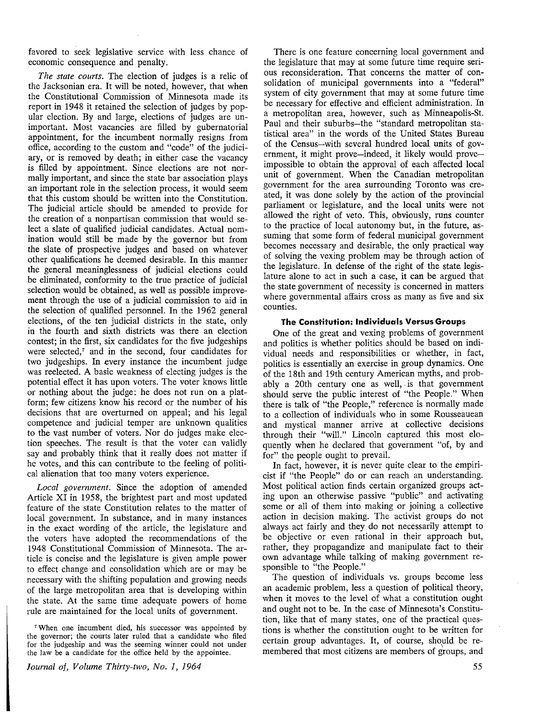favored to seek legislative service with less chance of economic consequence and penalty.

*The state courts.* The election of judges is a relic of the Jacksonian era. It will be noted, however, that when the Constitutional Commission of Minnesota made its report in 1948 it retained the selection of judges by popular election. By and large, elections of judges are unimportant. Most vacancies are filled by gubernatorial appointment, for the incumbent normally resigns from office, according to the custom and "code" of the judiciary, or is removed by death; in either case the vacancy is filled by appointment. Since elections are not normally important, and since the state bar association plays an important role in the selection process, it would seem that this custom should be written into the Constitution. The judicial article should be amended to provide for the creation of a nonpartisan commission that would select a slate of qualified judicial candidates. Actual nomination would still be made by the governor but from the slate of prospective judges and based on whatever other qualifications he deemed desirable. In this manner the general meaninglessness of judicial elections could be eliminated, conformity to the true practice of judicial selection would be obtained, as well as possible improvement through the use of a judicial commission to aid in the selection of qualified personnel. In the 1962 general elections, of the ten judicial districts in the state, only in the fourth and sixth districts was there an election contest; in the first, six candidates for the five judgeships were selected, $\tau$  and in the second, four candidates for two judgeships. In every instance the incumbent judge was reelected. A basic weakness of electing judges is the potential effect it has upon voters. The voter knows little or nothing about the judge: he does not run on a platform; few citizens know his record or the number of his decisions that are overturned on appeal; and his legal competence and judicial temper are unknown qualities to the vast number of voters. Nor do judges make election speeches. The result is that the voter can validly say and probably think that it really does not matter if he votes, and this can contribute to the feeling of political alienation that too many voters experience.

*Local government.* Since the adoption of amended Article XI in 1958, the brightest part and most updated feature of the state Constitution relates to the matter of local government. In substance, and in many instances in the exact wording of the article, the legislature and the voters have adopted the recommendations of the 1948 Constitutional Commission of Minnesota. The article is concise and the legislature is given ample power to effect change and consolidation which are or may be necessary with the shifting population and growing needs of the large metropolitan area that is developing within the state. At the same time adequate powers of home rule are maintained for the local units of government.

<sup>7</sup>When one incumbent died, his successor was appointed by the governor; the courts later ruled that a candidate who filed for the judgeship and was the seeming winner could not under the law be a candidate for the office held by the appointee.

*Journal of, Volume Thirty-two, No. I, 1964* 

There is one feature concerning local government and the legislature that may at some future time require serious reconsideration. That concerns the matter of consolidation of municipal governments into a "federal" system of city government that may at some future time be necessary for effective and efficient administration. In a metropolitan area, however, such as Minneapolis-St. Paul and their suburbs-the "standard metropolitan statistical area" in the words of the United States Bureau of the Census-with several hundred local units of government, it might prove—indeed, it likely would prove impossible to obtain the approval of each affected local unit of government. When the Canadian metropolitan government for the area surrounding Toronto was created, it was done solely by the action of the provincial parliament or legislature, and the local units were not allowed the right of veto. This, obviously, runs counter to the practice of local autonomy but, in the future, assuming that some form of federal municipal government becomes necessary and desirable, the only practical way of solving the vexing problem may be through action of the legislature. In defense of the right of the state, legislature alone to act in such a case, it can be argued that the state government of necessity is concerned in matters where governmental affairs cross as many as five and six counties.

#### **The Constitution: Individuals Versus Groups**

One of the great and vexing problems of government and politics is whether politics should be based on individual needs and responsibilities or whether, in fact, politics is essentially an exercise in group dynamics. One of the 18th and 19th century American myths, and probably a 20th century one as well, is that government should serve the public interest of "the People." When there is talk of "the People," reference is normally made to a collection of individuals who in some Rousseauean and mystical manner arrive at collective decisions through their "will." Lincoln captured this most eloquently when he declared that government "of, by and for" the people ought to prevail.

In fact, however, it is never quite clear to the empiricist if "the People" do or can reach an understanding. Most political action finds certain organized groups acting upon an otherwise passive "public" and activating some or all of them into making or joining a collective action in decision making. The activist groups do not always act fairly and they do not necessarily attempt to be objective or even rational in their approach but, rather, they propagandize and manipulate fact to their own advantage while talking of making government responsible to "the People."

The question of individuals vs. groups become less an academic problem, less a question of political theory, when it moves to the level of what a constitution ought and ought not to be. In the case of Minnesota's Constitution, like that of many states, one of the practical questions is whether the constitution ought to be written for certain group advantages. It, of course, should be remembered that most citizens are members of groups, and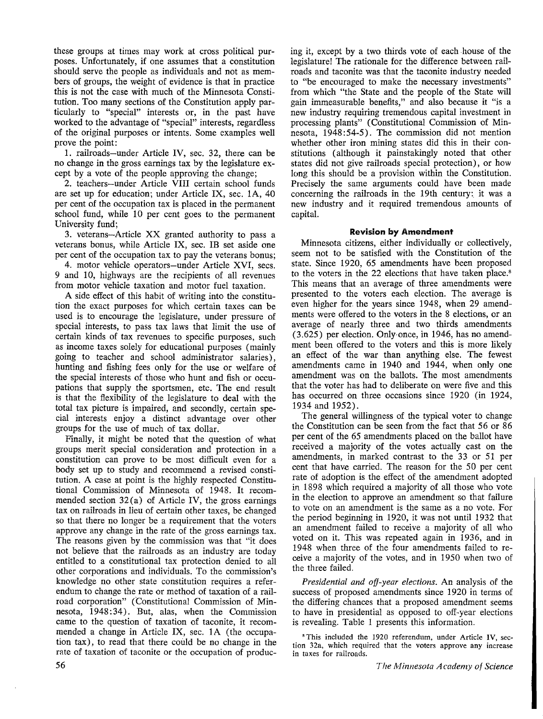these groups at times may work at cross political purposes. Unfortunately, if one assumes that a constitution should serve the people as individuals and not as members of groups, the weight of evidence is that in practice this is not the case with much of the Minnesota Constitution. Too many sections of the Constitution apply particularly to "special" interests or, in the past have worked to the advantage of "special" interests, regardless of the original purposes or intents. Some examples well prove the point:

1. railroads-under Article IV, sec. 32, there can be no change in the gross earnings tax by the legislature except by a vote of the people approving the change;

2. teachers-under Article VIII certain school funds are set up for education; under Article IX, sec. lA, 40 per cent of the occupation tax is placed in the permanent school fund, while 10 per cent goes to the permanent University fund;

3. veterans-Article XX granted authority to pass a veterans bonus, while Article IX, sec. IB set aside one per cent of the occupation tax to pay the veterans bonus;

4. motor vehicle operators-under Article **XVI,** secs. 9 and 10, highways are the recipients of all revenues from motor vehicle taxation and motor fuel taxation.

A side effect of this habit of writing into the constitution the exact purposes for which certain taxes can be used is to encourage the legislature, under pressure of special interests, to pass tax laws that limit the use of certain kinds of tax revenues to specific purposes, such as income taxes solely for educational purposes ( mainly going to teacher and school administrator salaries), hunting and fishing fees only for the use or welfare of the special interests of those who hunt and fish or occupations that supply the sportsmen, etc. The end result is that the flexibility of the legislature to deal with the total tax picture is impaired, and secondly, certain special interests enjoy a distinct advantage over other groups for the use of much of tax dollar.

Finally, it might be noted that the question of what groups merit special consideration and protection in a constitution can prove to be most difficult even for a body set up to study and recommend a revised constitution. A case at point is the highly respected Constitutional Commission of Minnesota of 1948. It recommended section  $32(a)$  of Article IV, the gross earnings tax on railroads in lieu of certain other taxes, be changed so that there no longer be a requirement that the voters approve any change in the rate of the gross earnings tax. The reasons given by the commission was that "it does not believe that the railroads as an industry are today entitled to a constitutional tax protection denied to all other corporations and individuals. To the commission's knowledge no other state constitution requires a referendum to change the rate or method of taxation of a railroad corporation" (Constitutional Commission of Minnesota, 1948:34). But, alas, when the Commission came to the question of taxation of taconite, it recommended a change in Article IX, sec. IA (the occupation tax), to read that there could be no change in the rate of taxation of taconite or the occupation of producing it, except by a two thirds vote of each house of the legislature! The rationale for the difference between railroads and taconite was that the taconite industry needed to "be encouraged to make the necessary investments" from which "the State and the people of the State will gain immeasurable benefits," and also because it "is a new industry requiring tremendous capital investment in processing plants" (Constitutional Commission of Minnesota, 1948: 54-5). The commission did not mention whether other iron mining states did this in their constitutions ( although it painstakingly noted that other states did not give railroads special protection), or how long this should be a provision within the Constitution. Precisely the same arguments could have been made concerning the railroads in the 19th century: it was a new industry and it required tremendous amounts of capital.

### **Revision by Amendment**

Minnesota citizens, either individually or collectively, seem not to be satisfied with the Constitution of the state. Since 1920, 65 amendments have been proposed to the voters in the 22 elections that have taken place.<sup>8</sup> This means that an average of three amendments were presented to the voters each election. The average is even higher for. the years since 1948, when 29 amendments were offered to the voters in the 8 elections, or an average of nearly three and two thirds amendments (3.625) per election. Only,once, in 1946, has no amendment been offered to the voters and this is more likely an effect of the war than anything else. The fewest amendments came in 1940 and 1944, when only one amendment was on the ballots. The most amendments that the voter has had to deliberate on were five and this has occurred on three occasions since 1920 (in 1924, 1934 and 1952).

The general willingness of the typical voter to change the Constitution can be seen from the fact that 56 or 86 per cent of the 65 amendments placed on the ballot have received a majority of the votes actually cast on the amendments, in marked contrast to the 33 or 51 per cent that have carried. The reason for the 50 per cent rate of adoption is the effect of the amendment adopted in 1898 which required a majority of all those who vote in the election to approve an amendment so that failure to vote on an amendment is the same as a no vote. For the period beginning in 1920, it was not until 1932 that an amendment failed to receive a majority of all who voted on it. This was repeated again in 1936, and in 1948 when three of the four amendments failed to receive a majority of the votes, and in 1950 when two of the three failed.

*Presidential and off-year elections.* An analysis of the success of proposed amendments since 1920 in terms of the differing chances that a proposed amendment seems to have in presidential as opposed to off-year elections is revealing. Table 1 presents this information.

<sup>•</sup> This included the 1920 referendum, under Article IV, section 32a, which required that the voters approve any increase in taxes for railroads.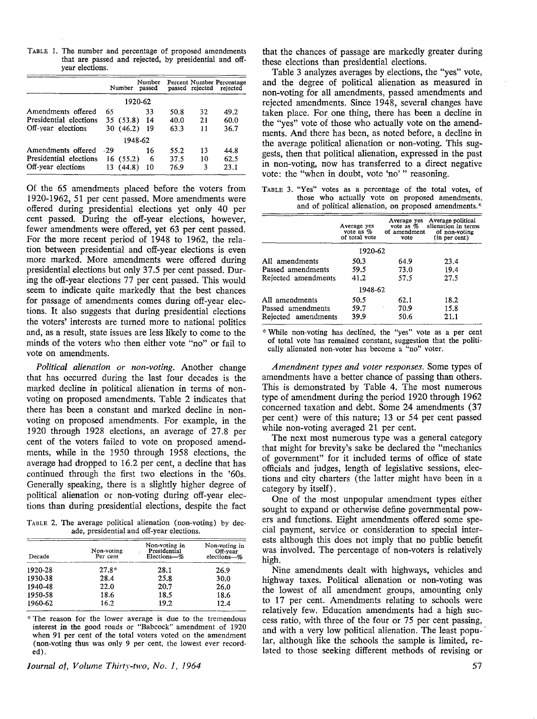TABLE 1. The number and percentage of proposed amendments that are passed and rejected, by presidential and offyear elections.

|                        |       | Number    | Number<br>passed |      | passed rejected | Percent Number Percentage<br>rejected |
|------------------------|-------|-----------|------------------|------|-----------------|---------------------------------------|
|                        |       |           | 1920-62          |      |                 |                                       |
| Amendments offered     | 65    |           | 33               | 50.8 | 32              | 49.2                                  |
| Presidential elections |       | 35(53.8)  | 14               | 40.0 | 21              | 60.0                                  |
| Off-year elections     |       | 30(46.2)  | 19               | 63.3 | 11              | 36.7                                  |
|                        |       |           | 1948-62          |      |                 |                                       |
| Amendments offered     | $-29$ |           | 16               | 55.2 | 13              | 44.8                                  |
| Presidential elections |       | 16 (55.2) | 6                | 37.5 | 10              | 62.5                                  |
| Off-year elections     |       | 13 (44.8) | 10               | 76.9 | 3               | 23.1                                  |

Of the 65 amendments placed before the voters from 1920-1962, 51 per cent passed. More amendments were offered during presidential elections yet only 40 per cent passed. During the off-year elections, however, fewer amendments were offered, yet 63 per cent passed. For the more recent period of 1948 to 1962, the relation between presidential and off-year elections is even more marked. More amendments were offered during presidential elections but only 37.5 per cent passed. During the off-year elections 77 per cent passed. This would seem to indicate quite markedly that the best chances for passage of amendments comes during off-year elections. It also suggests that during presidential elections the voters' interests are turned more to national politics and, as a result, state issues are less likely to come to the minds of the voters who then either vote "no" or fail to vote on amendments.

*Political alienation or non-voting.* Another change that has occurred during the last four decades is the marked decline in political alienation in terms of nonvoting on proposed amendments. Table 2 indicates that there has been a constant and marked decline in nonvoting on proposed amendments. For example, in the 1920 through 1928 elections, an average of 27.8 per cent of the voters failed to vote on proposed amendments, while in the 1950 through 1958 elections, the average had dropped to 16.2 per cent, a decline that has continued through the first two elections in the '60s. Generally speaking, there is a slightly higher degree of political alienation or non-voting during off-year elections than during presidential elections, despite the fact

TABLE 2. The average political alienation (non-voting) by decade, presidential and off-year elections.

| Decade  | Non-voting<br>Per cent | Non-voting in<br>Presidential<br>Elections-% | Non voting in<br>Off-year<br>elections-% |  |
|---------|------------------------|----------------------------------------------|------------------------------------------|--|
| 1920-28 | $27.8*$                | 28.1                                         | 26.9                                     |  |
| 1930-38 | 28.4                   | 25.8                                         | 30.0                                     |  |
| 1940-48 | 22.0                   | 20.7                                         | 26.0                                     |  |
| 1950-58 | 18.6                   | 18.5                                         | 18.6                                     |  |
| 1960-62 | 16.2                   | 19.2                                         | 12.4                                     |  |

\* The reason for the lower average is due to the tremendous interest in the good roads or "Babcock" amendment of 1920 when 91 per cent of the total voters voted on the amendment (non-voting thus was only 9 per cent, the lowest ever recorded).

*Journal of, Volume Thirty-two, No. 1, 1964* 

that the chances of passage are markedly greater during these elections than presidential elections.

Table 3 analyzes averages by elections, the "yes" vote, and the degree of political alienation as measured in non-voting for all amendments, passed amendments and rejected amendments. Since 1948, several changes have taken place. For one thing, there has been a decline in the "yes" vote of those who actually vote on the amendments. And there has been, as noted before, a decline in the average political alienation or non-voting. This suggests, then that political alienation, expressed in the past in non-voting, now has transferred to a direct negative vote: the "when in doubt, vote 'no'" reasoning.

TABLE 3. "Yes" votes as a percentage of the total votes, of those who actually vote on proposed amendments, and of political alienation, on proposed amendments.\*

| Average yes<br>vote as $%$<br>of total vote | vote | Average political<br>alienation in terms<br>of non-voting<br>(in per cent) |  |  |  |  |  |
|---------------------------------------------|------|----------------------------------------------------------------------------|--|--|--|--|--|
| 1920-62                                     |      |                                                                            |  |  |  |  |  |
| 50.3                                        | 64.9 | 23.4                                                                       |  |  |  |  |  |
| 59.5                                        | 73.0 | 19.4                                                                       |  |  |  |  |  |
| 41.2                                        | 57.5 | 27.5                                                                       |  |  |  |  |  |
|                                             |      |                                                                            |  |  |  |  |  |
| 50.5                                        | 62.1 | 18.2                                                                       |  |  |  |  |  |
| 59.7                                        | 70.9 | 15.8                                                                       |  |  |  |  |  |
| 39.9<br>Rejected amendments                 | 50.6 | 21.1                                                                       |  |  |  |  |  |
|                                             |      | Average yes<br>vote as $%$<br>of amendment<br>1948-62                      |  |  |  |  |  |

\* While non-voting has declined, the "yes" vote as a per cent of total vote has remained constant, suggestion that the politically alienated non-voter has become a "no" voter.

*Amendment types and voter responses.* Some types of amendments have a better chance of passing than others. This is demonstrated by Table 4. The most numerous type of amendment during the period 1920 through 1962 concerned taxation and debt. Some 24 amendments (37 per cent) were of this nature; 13 or 54 per cent passed while non-voting averaged 21 per cent.

The next most numerous type was a general category that might for brevity's sake be declared the "mechanics of government" for it included terms of office of state officials and judges, length of legislative sessions, elections and city charters ( the latter might have been in a category by itself).

One of the most unpopular amendment types either sought to expand or otherwise define governmental powers and functions. Eight amendments offered some special payment, service or consideration to special interests although this does not imply that no public benefit was involved. The percentage of non-voters is relatively high.

Nine amendments dealt with highways, vehicles and highway taxes. Political alienation or non-voting was the lowest of all amendment groups, amounting only to 17 per cent. Amendments relating to schools were relatively few. Education amendments had a high success ratio, with three of the four or 75 per cent passing, and with a very low political alienation. The least popular, although like the schools the sample is limited, related to those seeking different methods of revising or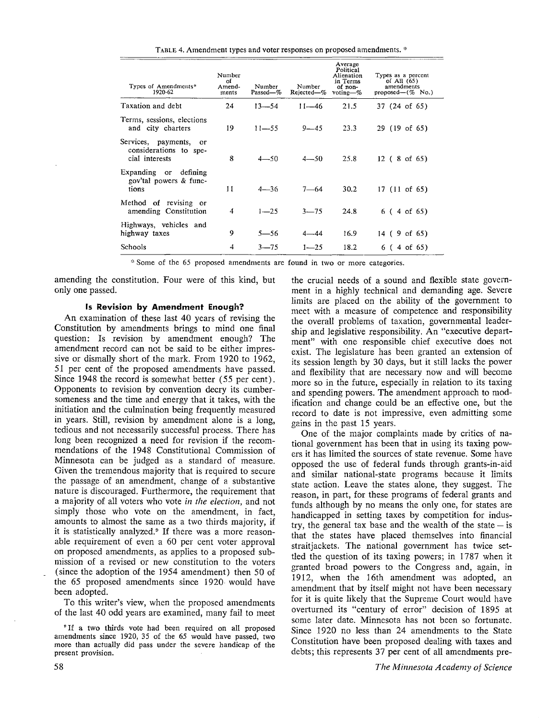TABLE 4. Amendment types and voter responses on proposed amendments. \*

| Types of Amendments*<br>1920-62                                       | Number<br>οf<br>Amend-<br>ments | Number<br>Passed—% | Number<br>Rejected-% | Average<br>Political<br>Alienation<br>in Terms<br>of non-<br>voting- $%$ | Types as a percent<br>of All $(65)$<br>amendments<br>proposed— $(\%$ No.) |
|-----------------------------------------------------------------------|---------------------------------|--------------------|----------------------|--------------------------------------------------------------------------|---------------------------------------------------------------------------|
| Taxation and debt                                                     | 24                              | $13 - 54$          | $11 - 46$            | 21.5                                                                     | 37 (24 of 65)                                                             |
| Terms, sessions, elections<br>and city charters                       | 19                              | $11 - 55$          | $9 - 45$             | 23.3                                                                     | 29 (19 of 65)                                                             |
| Services, payments,<br>or<br>considerations to spe-<br>cial interests | 8                               | $4 - 50$           | $4 - 50$             | 25.8                                                                     | $12(8 \text{ of } 65)$                                                    |
| Expanding or<br>defining<br>gov'tal powers & func-<br>tions           | 11                              | $4 - 36$           | $7 - 64$             | 30.2                                                                     | $17(11$ of $65)$                                                          |
| Method of revising or<br>amending Constitution                        | 4                               | $1 - 25$           | $3 - 75$             | 24.8                                                                     | 6(4 of 65)                                                                |
| Highways, vehicles and<br>highway taxes                               | 9                               | $5 - 56$           | $4 - 44$             | 16.9                                                                     | $14$ (9 of 65)                                                            |
| Schools                                                               | 4                               | $3 - 75$           | $1 - 25$             | 18.2                                                                     | 6(4 of 65)                                                                |

\* Some of the 65 proposed amendments are found in two or more categories.

amending the constitution. Four were of this kind, but only one passed.

#### **Is Revision by Amendment Enough?**

An examination of these last 40 years of revising the Constitution by amendments brings to mind one final question: Is revision by amendment enough? The amendment record can not be said to be either impressive or dismally short of the mark. From 1920 to 1962, 51 per cent of the proposed amendments have passed. Since 1948 the record is somewhat better (55 per cent). Opponents to revision by convention decry its cumbersomeness and the time and energy that it takes, with the initiation and the culmination being frequently measured in years. Still, revision by amendment alone is a long, tedious and not necessarily successful process. There has long been recognized a need for revision if the recommendations of the 1948 Constitutional Commission of Minnesota can be judged as a standard of measure. Given the tremendous majority that is required to secure the passage of an amendment, change of a substantive nature is discouraged. Furthermore, the requirement that a majority of all voters who vote *in the election,* and not simply those who vote on the amendment, in fact, amounts to almost the same as a two thirds majority, if it is statistically analyzed.<sup>9</sup> If there was a more reasonable requirement of even a 60 per cent voter approval on proposed amendments, as applies to a proposed submission of a revised or new constitution to the voters (since the adoption of the 1954 amendment) then 50 of the 65 proposed amendments since 1920- would have been adopted.

To this writer's view, when the proposed amendments of the last 40 odd years are examined, many fail to meet

"If a two thirds vote had been required on all proposed amendments since 1920, 35 of the 65 would have passed, two more than actually did pass under the severe handicap of the present provision.

the crucial needs of a sound and flexible state government in a highly technical and demanding age. Severe limits are placed on the ability of the government to meet with a measure of competence and responsibility the overall problems of taxation, governmental leadership and legislative responsibility. An "executive department" with one responsible chief executive does not exist. The legislature has been granted an extension of its session length by 30 days, but it still lacks the power and flexibility that are necessary now and will become more so in the future, especially in relation to its taxing and spending powers. The amendment approach to modification and change could be an effective one, but the record to date is not impressive, even admitting some gains in the past 15 years.

One of the major complaints made by critics of national government has been that in using its taxing powers it has limited the sources of state revenue. Some have opposed the use of federal funds through grants-in-aid and similar national-state programs because it limits state action. Leave the states alone, they suggest. The reason, in part, for these programs of federal grants and funds although by no means the only one, for states are handicapped in setting taxes by competition for industry, the general tax base and the wealth of the state  $-$  is that the states have placed themselves into financial straitjackets. The national government has twice settled the question of its taxing powers; in 1787 when it granted broad powers to the Congress and, again, in 1912, when the 16th amendment was adopted, an amendment that by itself might not have been necessary for it is quite likely that the Supreme Court would have overturned its "century of error" decision of 1895 at some later date. Minnesota has not been so fortunate. Since 1920 no less than 24 amendments to the State Constitution have been proposed dealing with taxes and debts; this represents 37 per cent of all amendments pre